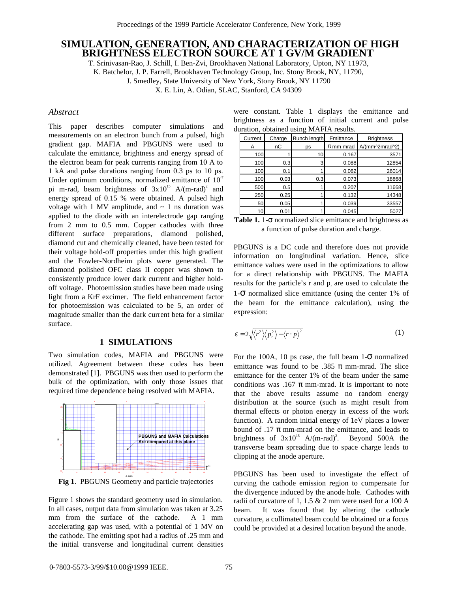# **SIMULATION, GENERATION, AND CHARACTERIZATION OF HIGH BRIGHTNESS ELECTRON SOURCE AT 1 GV/M GRADIENT**

T. Srinivasan-Rao, J. Schill, I. Ben-Zvi, Brookhaven National Laboratory, Upton, NY 11973,

K. Batchelor, J. P. Farrell, Brookhaven Technology Group, Inc. Stony Brook, NY, 11790,

J. Smedley, State University of New York, Stony Brook, NY 11790

X. E. Lin, A. Odian, SLAC, Stanford, CA 94309

## *Abstract*

This paper describes computer simulations and measurements on an electron bunch from a pulsed, high gradient gap. MAFIA and PBGUNS were used to calculate the emittance, brightness and energy spread of the electron beam for peak currents ranging from 10 A to 1 kA and pulse durations ranging from 0.3 ps to 10 ps. Under optimum conditions, normalized emittance of  $10<sup>7</sup>$ pi m-rad, beam brightness of  $3x10^{15}$  A/(m-rad)<sup>2</sup> and energy spread of 0.15 % were obtained. A pulsed high voltage with 1 MV amplitude, and  $\sim$  1 ns duration was applied to the diode with an interelectrode gap ranging from 2 mm to 0.5 mm. Copper cathodes with three different surface preparations, diamond polished, diamond cut and chemically cleaned, have been tested for their voltage hold-off properties under this high gradient and the Fowler-Nordheim plots were generated. The diamond polished OFC class II copper was shown to consistently produce lower dark current and higher holdoff voltage. Photoemission studies have been made using light from a KrF excimer. The field enhancement factor for photoemission was calculated to be 5, an order of magnitude smaller than the dark current beta for a similar surface.

#### **1 SIMULATIONS**

Two simulation codes, MAFIA and PBGUNS were utilized. Agreement between these codes has been demonstrated [1]. PBGUNS was then used to perform the bulk of the optimization, with only those issues that required time dependence being resolved with MAFIA.

E E E



**Fig 1**. PBGUNS Geometry and particle trajectories

Figure 1 shows the standard geometry used in simulation. In all cases, output data from simulation was taken at 3.25 mm from the surface of the cathode. A 1 mm accelerating gap was used, with a potential of 1 MV on the cathode. The emitting spot had a radius of .25 mm and the initial transverse and longitudinal current densities

were constant. Table 1 displays the emittance and brightness as a function of initial current and pulse duration, obtained using MAFIA results.

| Current | Charge | Bunch length | Emittance     | <b>Brightness</b> |
|---------|--------|--------------|---------------|-------------------|
| A       | nС     | ps           | $\pi$ mm mrad | A/(mm^2mrad^2)    |
| 100     |        | 10           | 0.167         | 3571              |
| 100     | 0.3    | 3            | 0.088         | 12854             |
| 100     | 0.1    |              | 0.062         | 26014             |
| 100     | 0.03   | 0.3          | 0.073         | 18868             |
| 500     | 0.5    |              | 0.207         | 11668             |
| 250     | 0.25   |              | 0.132         | 14348             |
| 50      | 0.05   |              | 0.039         | 33557             |
| 10      | 0.01   |              | 0.045         | 5027              |

| <b>Table 1.</b> 1- $\sigma$ normalized slice emittance and brightness as |
|--------------------------------------------------------------------------|
| a function of pulse duration and charge.                                 |

PBGUNS is a DC code and therefore does not provide information on longitudinal variation. Hence, slice emittance values were used in the optimizations to allow for a direct relationship with PBGUNS. The MAFIA results for the particle's r and  $p<sub>r</sub>$  are used to calculate the 1-σ normalized slice emittance (using the center 1% of the beam for the emittance calculation), using the expression:

$$
\varepsilon = 2\sqrt{\langle r^2 \rangle \langle p_r^2 \rangle - \langle r \cdot p \rangle^2}
$$
 (1)

For the 100A, 10 ps case, the full beam  $1-\sigma$  normalized emittance was found to be .385  $\pi$  mm-mrad. The slice emittance for the center 1% of the beam under the same conditions was .167  $\pi$  mm-mrad. It is important to note that the above results assume no random energy distribution at the source (such as might result from thermal effects or photon energy in excess of the work function). A random initial energy of 1eV places a lower bound of .17  $\pi$  mm-mrad on the emittance, and leads to brightness of  $3x10^{15}$  A/(m-rad)<sup>2</sup>. Beyond 500A the transverse beam spreading due to space charge leads to clipping at the anode aperture.

PBGUNS has been used to investigate the effect of curving the cathode emission region to compensate for the divergence induced by the anode hole. Cathodes with radii of curvature of 1, 1.5 & 2 mm were used for a 100 A beam. It was found that by altering the cathode curvature, a collimated beam could be obtained or a focus could be provided at a desired location beyond the anode.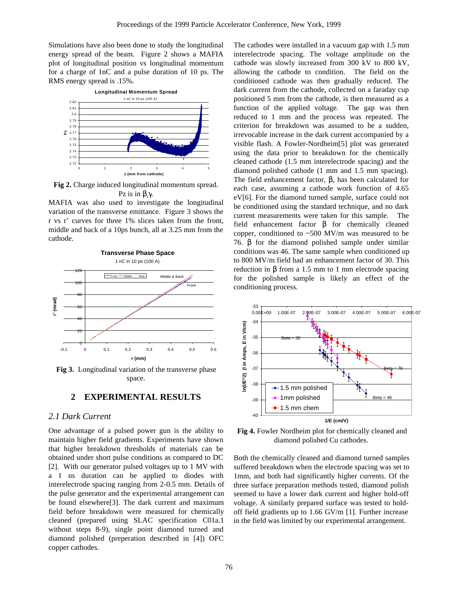Simulations have also been done to study the longitudinal energy spread of the beam. Figure 2 shows a MAFIA plot of longitudinal position vs longitudinal momentum for a charge of 1nC and a pulse duration of 10 ps. The RMS energy spread is .15%.



**Fig 2.** Charge induced longitudinal momentum spread. Pz is in  $\beta_z$ γ.

MAFIA was also used to investigate the longitudinal variation of the transverse emittance. Figure 3 shows the r vs r' curves for three 1% slices taken from the front, middle and back of a 10ps bunch, all at 3.25 mm from the cathode.



**Fig 3.** Longitudinal variation of the transverse phase space.

## **2 EXPERIMENTAL RESULTS**

## *2.1 Dark Current*

One advantage of a pulsed power gun is the ability to maintain higher field gradients. Experiments have shown that higher breakdown thresholds of materials can be obtained under short pulse conditions as compared to DC [2]. With our generator pulsed voltages up to 1 MV with a 1 ns duration can be applied to diodes with interelectrode spacing ranging from 2-0.5 mm. Details of the pulse generator and the experimental arrangement can be found elsewhere[3]. The dark current and maximum field before breakdown were measured for chemically cleaned (prepared using SLAC specification C01a.1 without steps 8-9), single point diamond turned and diamond polished (preperation described in [4]) OFC copper cathodes.

The cathodes were installed in a vacuum gap with 1.5 mm interelectrode spacing. The voltage amplitude on the cathode was slowly increased from 300 kV to 800 kV, allowing the cathode to condition. The field on the conditioned cathode was then gradually reduced. The dark current from the cathode, collected on a faraday cup positioned 5 mm from the cathode, is then measured as a function of the applied voltage. The gap was then reduced to 1 mm and the process was repeated. The criterion for breakdown was assumed to be a sudden, irrevocable increase in the dark current accompanied by a visible flash. A Fowler-Nordheim[5] plot was generated using the data prior to breakdown for the chemically cleaned cathode (1.5 mm interelectrode spacing) and the diamond polished cathode (1 mm and 1.5 mm spacing). The field enhancement factor,  $β$ , has been calculated for each case, assuming a cathode work function of 4.65 eV[6]. For the diamond turned sample, surface could not be conditioned using the standard technique, and no dark current measurements were taken for this sample. The field enhancement factor  $\beta$  for chemically cleaned copper, conditioned to ~500 MV/m was measured to be 76. β for the diamond polished sample under similar conditions was 46. The same sample when conditioned up to 800 MV/m field had an enhancement factor of 30. This reduction in β from a 1.5 mm to 1 mm electrode spacing for the polished sample is likely an effect of the conditioning process.



 **Fig 4.** Fowler Nordheim plot for chemically cleaned and diamond polished Cu cathodes.

Both the chemically cleaned and diamond turned samples suffered breakdown when the electrode spacing was set to 1mm, and both had significantly higher currents. Of the three surface preparation methods tested, diamond polish seemed to have a lower dark current and higher hold-off voltage. A similarly prepared surface was tested to holdoff field gradients up to 1.66 GV/m [1]. Further increase in the field was limited by our experimental arrangement.